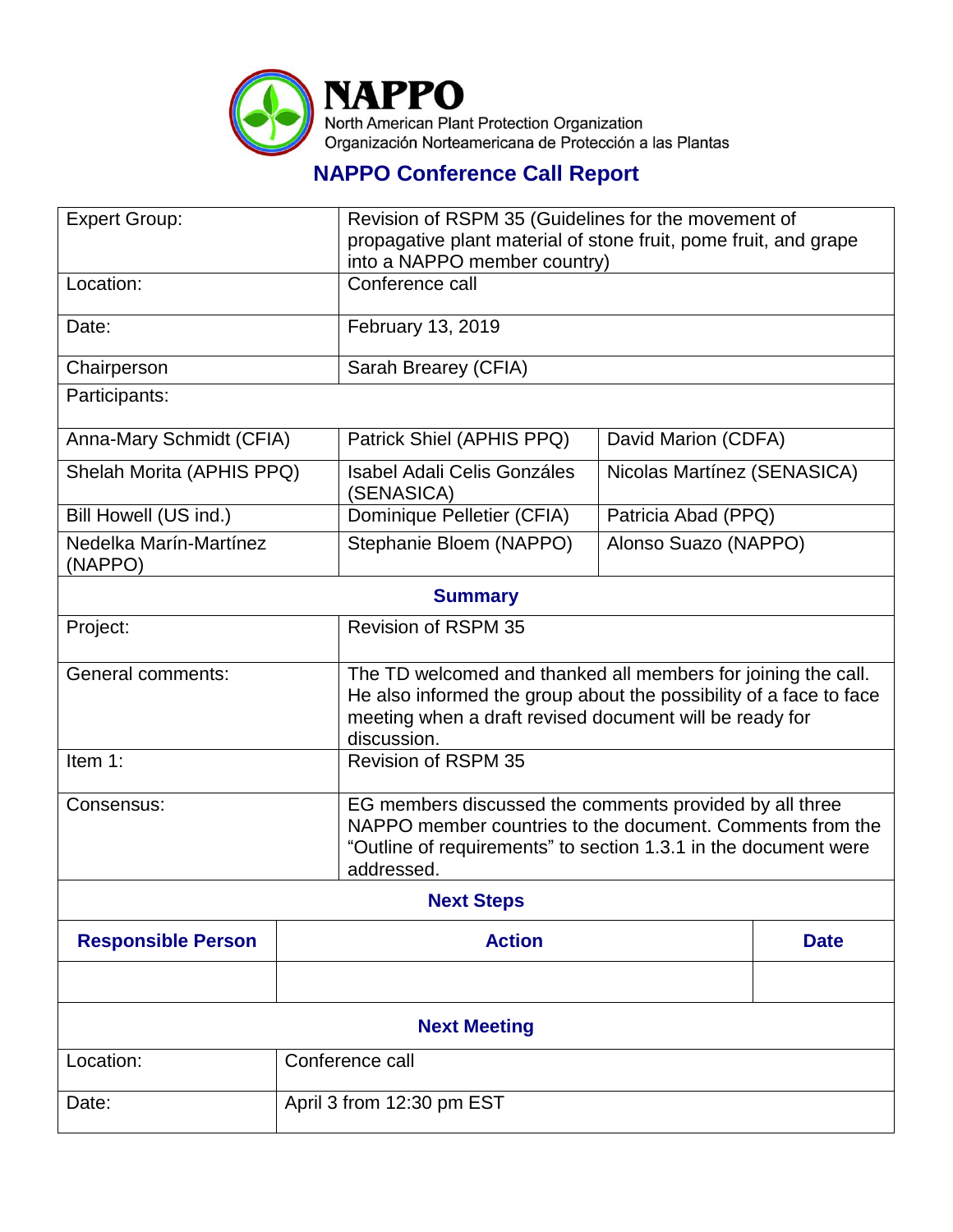

## **NAPPO Conference Call Report**

| <b>Expert Group:</b>              |                           | Revision of RSPM 35 (Guidelines for the movement of<br>propagative plant material of stone fruit, pome fruit, and grape<br>into a NAPPO member country)                                                       |                             |             |  |
|-----------------------------------|---------------------------|---------------------------------------------------------------------------------------------------------------------------------------------------------------------------------------------------------------|-----------------------------|-------------|--|
| Location:                         |                           | Conference call                                                                                                                                                                                               |                             |             |  |
| Date:                             |                           | February 13, 2019                                                                                                                                                                                             |                             |             |  |
| Chairperson                       |                           | Sarah Brearey (CFIA)                                                                                                                                                                                          |                             |             |  |
| Participants:                     |                           |                                                                                                                                                                                                               |                             |             |  |
| Anna-Mary Schmidt (CFIA)          |                           | Patrick Shiel (APHIS PPQ)                                                                                                                                                                                     | David Marion (CDFA)         |             |  |
| Shelah Morita (APHIS PPQ)         |                           | <b>Isabel Adali Celis Gonzáles</b><br>(SENASICA)                                                                                                                                                              | Nicolas Martínez (SENASICA) |             |  |
| Bill Howell (US ind.)             |                           | Dominique Pelletier (CFIA)                                                                                                                                                                                    | Patricia Abad (PPQ)         |             |  |
| Nedelka Marín-Martínez<br>(NAPPO) |                           | Stephanie Bloem (NAPPO)                                                                                                                                                                                       | Alonso Suazo (NAPPO)        |             |  |
| <b>Summary</b>                    |                           |                                                                                                                                                                                                               |                             |             |  |
| Project:                          |                           | <b>Revision of RSPM 35</b>                                                                                                                                                                                    |                             |             |  |
| <b>General comments:</b>          |                           | The TD welcomed and thanked all members for joining the call.<br>He also informed the group about the possibility of a face to face<br>meeting when a draft revised document will be ready for<br>discussion. |                             |             |  |
| Item 1:                           |                           | <b>Revision of RSPM 35</b>                                                                                                                                                                                    |                             |             |  |
| Consensus:                        |                           | EG members discussed the comments provided by all three<br>NAPPO member countries to the document. Comments from the<br>"Outline of requirements" to section 1.3.1 in the document were<br>addressed.         |                             |             |  |
| <b>Next Steps</b>                 |                           |                                                                                                                                                                                                               |                             |             |  |
| <b>Responsible Person</b>         |                           | <b>Action</b>                                                                                                                                                                                                 |                             | <b>Date</b> |  |
|                                   |                           |                                                                                                                                                                                                               |                             |             |  |
| <b>Next Meeting</b>               |                           |                                                                                                                                                                                                               |                             |             |  |
| Location:                         | Conference call           |                                                                                                                                                                                                               |                             |             |  |
| Date:                             | April 3 from 12:30 pm EST |                                                                                                                                                                                                               |                             |             |  |